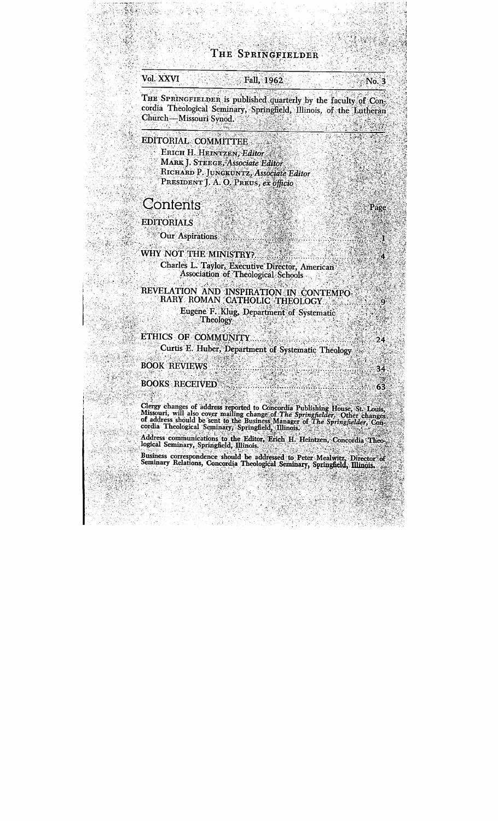## THE SPRINGFIELDER

## Vol. XXVI

### Fall, 1962

THE SPRINGFIELDER is published quarterly by the faculty of Concordia Theological Seminary, Springfield, Illinois, of the Lutheran Church-Missouri Synod.

EDITORIAL COMMITTEE

ERICH H. HEINTZEN, Editor **MARK J. STEEGE, Associate Fditor** RICHARD P. JUNGKUNTZ, Associate Editor PRESIDENT T. A. O. PREUS, ex officio

Contents

**EDITORIALS** 

**Our Aspirations** 

#### **WHY NOT THE MINISTRY?**

Charles L. Tavlor, Executive Director, American Association of Theological Schools

REVELATION AND INSPIRATION IN CONTEMPO-RARY ROMAN CATHOLIC THEOLOGY

> Eugene F. Klug, Department of Systematic Theology

ETHICS OF COMMUNITY Curtis E. Huber, Department of Systematic Theology

**BOOK REVIEWS** 

#### **BOOKS RECEIVED**

Clergy changes of address reported to Concordia Publishing House, St. Louis, Missouri, will also cover mailing change of The Springfielder, Other changes of address should be sent to the Business Manager of The Springfield

Address communications to the Editor, Erich H. Heintzen, Concordia Theological Seminary, Springfield, Illinois.

Business correspondence should be addressed to Peter Mealwitz, Director of Seminary Relations, Concordia Theological Seminary, Springfield, Illinois.

Page

 $24$ 

34

63

No. 3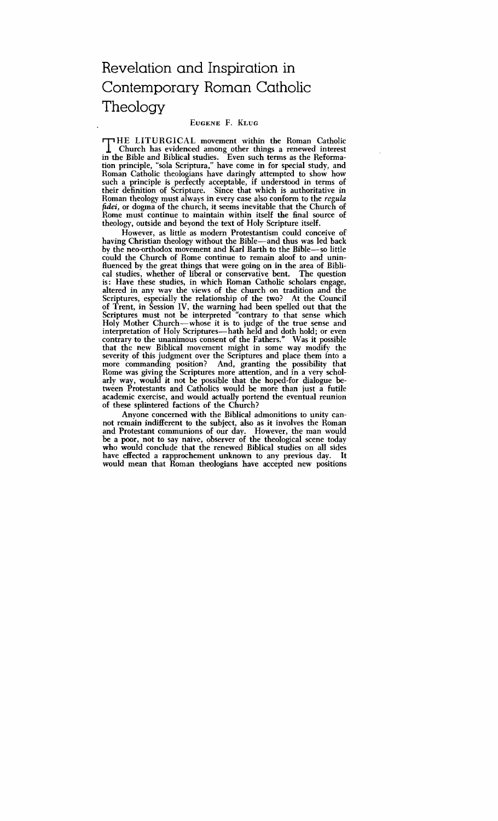# Revelation and Inspiration in Contemporary Roman Catholic **Theology**

#### EUGENE F. KLUG

THE LITURGICAL movement within the Roman Catholic<br>Church has evidenced among other things a renewed interest<br>in the Bible and Biblical studies Even such terms as the Beformain the Bible and Biblical studies. Even such terms as the Reformation principle, "sola Scriptura," have come in for special study, and Roman Catholic theologians have daringly attempted to show how such a principle is perfectly acceptable, if understood in terms of their definition of Scripture. Since that which is authoritative in Roman theology must always in every case also conform to the **regula**  *jidei,* or dogma of the church, it seems inevitable that the Church of Rome must continue to maintain within itself the final source of theology, outside and beyond the text of Holy Scripture itself.

However, as little as modem Protestantism could conceive of having Christian theology without the Bible-and thus was led back by the neo-orthodox movement and Karl Barth to the Bible-so little could the Church of Rome continue to remain aloof to and uninfluenced by the great things that were going on in the area of Biblical studies, whether of liberal or conservative bent. The question cal studies, whether of liberal or conservative bent. is: Have these studies, in which Roman Catholic scholars engage, altered in any way the views of the church on tradition and the Scriptures, especially the relationship of the two? At the Council of Trent, in Session IV, the warning had been spelled out that the Scriptures must not be interpreted "contrary to that sense which Holy Mother Church-whose it is to judge of the true sense and interpretation of Holy Scriptures—hath held and doth hold; or even contrary to the unanimous consent of the Fathers." Was it possible that the new Biblical movement might in some way modify the severity of this judgment over the Scriptures and place them into a more commanding position? And, granting the possibility that Rome was giving the Scriptures more attention, and in a very scholarly way, would it not be possible that the hoped-for dialogue between Protestants and Catholics would be more than just a futile academic exercise, and would actually portend the eventual reunion of these splintered factions of the Church?

hyone concerned with the Biblical admonitions to unity cannot remain indifferent to the subject, also as it involves the Roman and Protestant communions of our day. However, the man would be a poor, not to say naive, observer of the theological scene today who would conclude that the renewed Biblical studies on all sides have effected a rapprochement unknown to any previous day. It would mean that Roman theologians have accepted new positions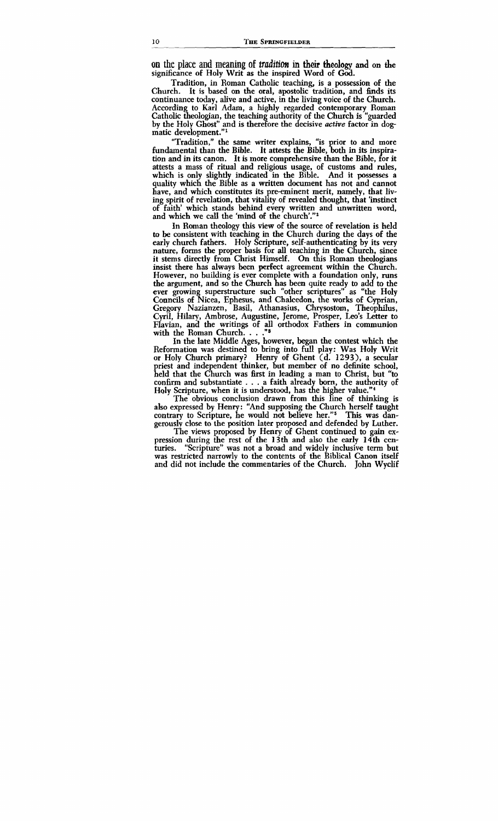**on** the **place and meaning** of **ttnditim in** their theology and on the significance of Holy Writ as the inspired Word of **God.** 

Tradition, in Roman Catholic teaching, is a possession of the Church. It is based on the oral, apostolic tradition, and finds its continuance today, alive and active, in the living voice of the Church. According to Karl Adam, a highly regarded contemporary Roman Catholic theologian, the teaching authority of the Church is "guarded" by the Holy Ghost" and is therefore the decisive *active* factor in dogmatic development."'

"Tradition," the same writer explains, "is prior to and more fundamental than the Bible. It attests the Bible, both in its inspiration and in its canon. It is more comprehensive than the Bible, for it attests a mass of ritual and religious usage, of customs and rules, which is only slightly indicated in the Bible. And it possesses a quality which the Bible as a written document has not and cannot have, and which constitutes its pre-eminent merit, namely, that living spirit of revelation, that vitality of revealed thought, that 'instinct of faith' which stands behind every written and unwritten word, and which we call the 'mind of the church'."'

In Roman theology this view of the source of revelation is held to be consistent with teaching in the Church during the days of the early church fathers. Holy Scripture, self-authenticating by its very nature, forms the proper basis for **all** teaching in the Church, since it stems directly from Christ Himself. On this Roman theologians insist there has always been perfect agreement within the Church. However, no building is ever complete with a foundation only, runs the argument, and so the Church has been quite ready to add to the ever growing superstructure such "other scriptures" as "the Holy Councils of Nicea, Ephesus, and Chalcedon, the works of Cyprian, Gregory Nazianzen, Basil, Athanasius, Chrysostom, Theophilus, Cyril, Hilary, Ambrose, Augustine, Jerome, Prosper, Leo's Letter to Flavian, and the writings of all orthodox Fathers in communion with the Roman Church. . . . **''**<sup>3</sup>

In the late Middle Ages, however, began the contest which the Reformation was destined to bring into full play: Was Holy Writ or Holy Church primary? Henry of Ghent (d. **1293),** a secular priest and independent thinker, but member of no definite school, held that the Church was first in leading a man to Christ, but "to confirm and substantiate . . . a faith already **born,** the authority of Holy Scripture, when it is understood, has the higher value." $4$ 

The obvious conclusion drawn from this line of thinking is also expressed by Henry: "And supposing the Church herself taught contrary to Scripture, he would not believe her."<sup>5</sup> This was dangerously close to the position later proposed and defended by Luther.

The views proposed by Henry of Ghent continued to gain expression during the rest of the 13th and also the early 14th cen-"Scripture" was not a broad and widely inclusive term but was restricted narrowly to the contents of the Biblical Canon itself and did not include the commentaries of the Church. John Wyclif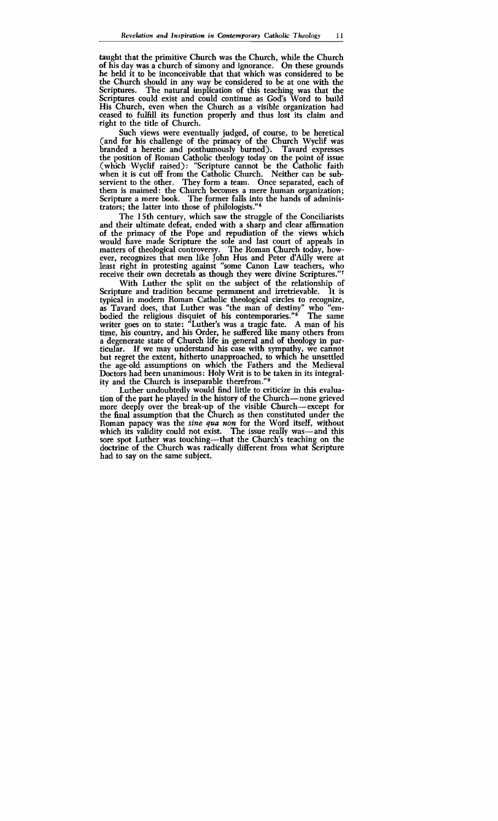taught that the primitive Church was the Church, while the Church of his day was a church of simony and ignorance. On these grounds he held it to be inconceivable that that which was considered to be the Church should in any way be considered to be at one with the Scriptures. The natural implication of this teaching was that the Scriptures could exist and could continue as God's Word to build His Church, even when the Church as a visible organization had ceased to fulfiU its function properly and thus lost its claim and right to the title of Church.

Such views were eventually judged, of course, to be heretical (and for his challenge of the primacy of the Church Wyclif was branded a heretic and posthumously burned). Tavard expresses the position of Roman Catholic theology today on the point of issue (which Wyclif raised): "Scripture cannot be the Catholic faith when it is cut off from the Catholic Church. Neither can be subservient to the other. They form a team. Once separated, each of them is maimed: the Church becomes a mere human organization; Scripture a mere book. The former falls into the hands of administrators; the latter into those of philologists." $6$ 

The 15th century, which saw the struggle of the Conciliarists and their ultimate defeat, ended with a sharp and clear affirmation of the primacy of the Pope and repudiation of the views which would have made Scripture the sole and last court of appeals in matters of theological controversy. The Roman Church today, however, recognizes that men like John Hus and Peter d'Ailly were at least right in protesting against "some Canon Law teachers, who receive their own decretals as though they were divine Scriptures."<sup>7</sup>

With Luther the split on the subject of the relationship of Scripture and tradition became permanent and irretrievable. It is Scripture and tradition became permanent and irretrievable. It is<br>typical in modern Roman Catholic theological circles to recognize,<br>as Tavard does, that Luther was "the man of destiny" who "embodied the religious disquiet of his contemporaries."<sup>8</sup> The same writer goes on to state: "Luther's was a tragic fate. A man of his time, his country, and his Order, he suffered like many others from a degenerate state of Church life in general and of theology in para degenerate state of church the *m* general and or dicology in particular. If we may understand his case with sympathy, we cannot but regret the extent, hitherto unapproached, to which he unsettled the age-old assumptions on which the Fathers and the Medieval Doctors had been unanimous: Holy Writ is to be taken in its integrality and the Church is inseparable therefrom."<sup>9</sup>

Luther undoubtedly would find little to criticize in this evaluation of the part he played in the history of the Church—none grieved more deeply over the break-up of the visible Church-except for the final assumption that the Church as then constituted under the Roman papacy was the **sine** qua *non* for the Word itself, without which its validity could not exist. The issue really was—and this sore spot Luther was touching---that the Church's teaching on the doctrine of the Church was radically different from what Scripture had to say on the same subject.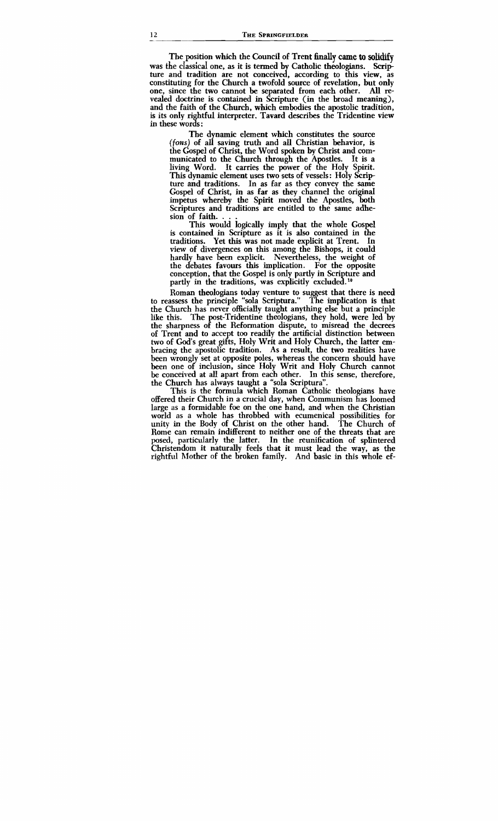The position which the Council of Trent finally came to solidify was the classical one, as it is termed by Catholic theologians. Scripture and tradition are not conceived, according to this view, as constituting for the Church a twofold source of revelation, but only one, since the two cannot be separated from each other. All reone, since the two cannot be separated from each other. vealed doctrine is contained in Scripture (in the broad meaning), and the faith of the Church, which embodies the apostolic tradition, in these words: is its only rightful interpreter. Tavard describes the Tridentine view

The dynamic element which constitutes the source *(fons)* of all saving truth and all Christian behavior, is the Gospel of Christ, the Word spoken by Christ and com-<br>municated to the Church through the Apostles. It is a municated to the Church through the Apostles. living Word. It carries the power of the Holy Spirit. This dynamic element uses two sets of vessels: Holy Scripture and traditions. In as far as they convey the same Gospel of Christ, in **as** far as they channel the original impetus whereby the Spirit moved the Apostles, both Scriptures and traditions are entitled to the same adhesion of faith...

This would logically imply that the whole Gospel is contained in Scripture as it is **also** contained in the traditions. Yet this was not made explicit at Trent. view of divergences on this among the Bishops, it could hardly have been explicit. Nevertheless, the weight of the debates favours this implication. For the opposite conception, that the Gospel is only partly in Scripture and partly in the traditions, was explicitly excluded.<sup>10</sup>

Roman theologians today venture to suggest that there is need to reassess the principle "sola Scriptura." The implication is that the Church has never officially taught anything else but a principle like this. The post-Tridentine theologians, they hold, were led by the sharpness of the Reformation dispute, to misread the decrees of Trent and to accept too readily the artificial distinction between two of God's great gifts, Holy Writ and Holy Church, the latter embracing the apostolic tradition. As a result, the two realities have been wrongly set at opposite poles, whereas the concern should have been one of inclusion, since Holy Writ and Holy Church cannot be conceived at all apart from each other. In this sense, therefore, the Church has always taught a "sola Scriptura".

This is the formula which Roman Catholic theologians have offered their Church in a crucial day, when Communism has loomed large as a formidable foe on the one hand, and when the Christian world as a whole has throbbed with ecumenical possibilities for unity in the Body of Christ on the other hand. The Church of Rome can remain indifferent to neither one of the threats that are posed, particdarly the latter. In the reunification of splintered Christendom it naturally feels that it must lead the way, as the rightful Mother of the broken family. And basic in this whole ef-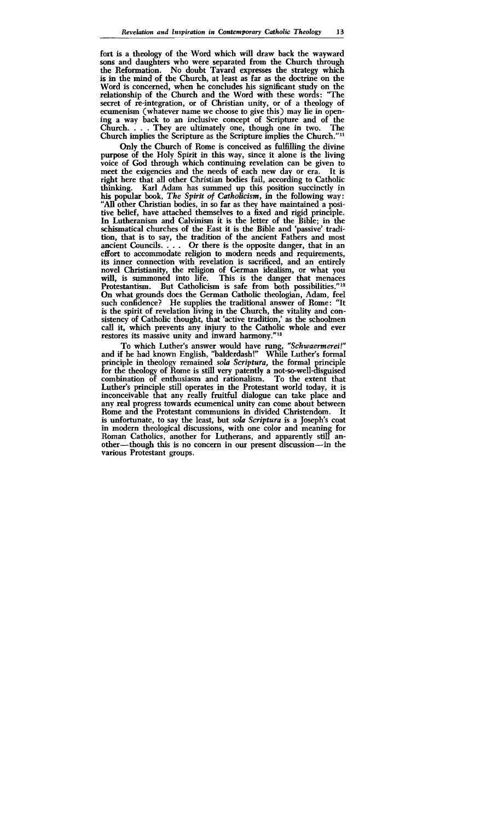fort is a theology of the Word which will draw back the wayward **sons** and daughters who were separated from the Church through the Reformation. No doubt Tavard expresses the strategy which is in the mind of the Church, at least as far as the doctrine on the Word is concerned, when he concludes his significant study on the relationship of the Church and the Word with these words: "The secret of re-integration, or of Christian unity, or of a theology of ecumenism (whatever name we choose to give this) may lie in opening a way back to an inclusive concept of Scripture and of the Church.... They are ultimately one, though one in two. The Church.  $\ldots$  They are ultimately one, though one in two. Church implies the Scripture as the Scripture implies the Church.""

Only the Church of Rome is conceived as fulfiUing the divine purpose of the Holy Spirit in **this** way, since it alone is the living voice of **God** through which continuing revelation can be given to meet the exigencies and the needs of each new day or era. It is right here that all other Christian bodies fail, according to Catholic thinking. Karl Adam has summed up this position succinctly in his popular book, The Spirit of Catholicism, in the following way: "All other Christian bodies, in so far as they have maintained a positive belief, have attached themselves to a fixed and rigid principle. In Lutheranism and Calvinism it is the letter of the Bible; in the xhismatical churches of the East it is the Bible and 'passive' tradition, that is to say, the tradition of the ancient Fathers and most ancient Councils.  $\ldots$  Or there is the opposite danger, that in an effort to accommodate religion to modern needs and requirements, its inner connection with revelation is sacrificed, and an entirely novel Christianity, the religion of German idealism, or what you will, is summoned into life. This is the danger that menaces Protestantism. But Catholicism is safe from both possibilities."<sup>12</sup> On what grounds does the German Catholic theologian, Adam, feel such confidence? He supplies the traditional answer of Rome: "It is the spirit of revelation living in the Church, the vitality and consistency of Catholic thought, that 'active tradition,' as the schoolmen call it, which prevents any injury to the Catholic whole and ever restores its massive unity and inward harmony."13

To which Luther's answer would have rung, "Schwaermerei!" and if he had known English, "balderdash!" While Luther's formal principle in theology remained sola Scriptura, the formal principle for the theology of Rome is still very patently a not-so-well-disguised combination of enthusiasm and rationalism. To the extent that Luther's principle still operates in the Protestant world today, it is inconceivable that any really fruitful dialogue can take place and any real progress towards ecumenical unity can come about between Rome and the Protestant communions in divided Christendom. is unfortunate, to say the least, but sola Scriptura is a Joseph's coat in modem theological discussions, with one color and meaning for Roman Catholics, another for Lutherans, and apparently still another—though this is no concern in our present discussion—in the various Protestant groups.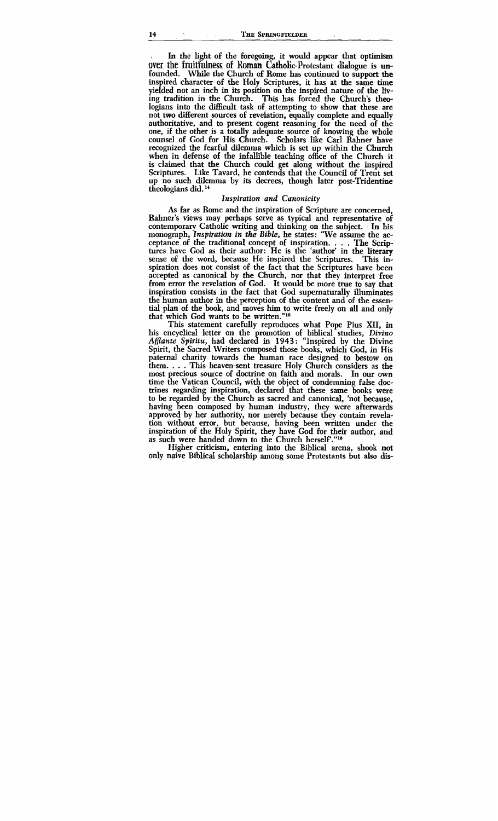In the light of the foregoing, it would appear that optimism over the fruitfulness of Roman Catholic-Protestant dialogue is unfounded. While the Church of Rome has continued to support the inspired character of the Holy Scriptures, it has at the same time yielded not an inch in its position on the inspired nature of the living tradition in the Church. This has forced the Church's theologians into the difficult task of attempting to show that these are not two different sources of revelation, equally complete and equally authoritative, and to present cogent reasoning for the need of the one, if the other is a totally adequate source of knowing the whole counsel of God for His Church. Scholars like Carl Rahner have recognized the fearful dilemma which is set up within the Church when in defense of the infallible teaching office of the Church it is claimed that the Church could get along without the inspired Scriptures. Like Tavard, he contends that the Council of Trent set up no such dilemma by its decrees, though later post-Tridentine theologians did.<sup>14</sup>

#### Inspiration and Canonicity

As far as Rome and the inspiration of Scripture are concerned, Rahner's views may perhaps serve as typical and representative of contemporary Catholic writing and thinking on the subject. In his monograph, Inspiration in the *Bible,* he states: 'We assume the acceptance of the traditional concept of inspiration. . . . The Scriptures have God as their author: He is the 'author' in the literary sense of the word, because He inspired the Scriptures. This insense of the word, because He inspired the Scriptures. spiration does not consist of the fact that the Scriptures have been accepted as canonical by the Church, nor that they interpret free from error the revelation of God. It would be more true to say that inspiration consists in the fact that God supernaturally illuminates the human author in the perception of the content and of the essen**tiaI** plan of the book, and moves him to write freely on all and only that which God wants to be written."15

This statement carefully reproduces what Pope Pius XII, in his encyclical letter on the promotion of biblical studies, Divino Afflante Spiritu, had declared in 1943: "Inspired by the Divine Spirit, the Sacred Writers composed those books, which God, in His paternal charity towards the human race designed to bestow on them. . . . This heaven-sent treasure Holy Church considers as the most precious source of doctrine on faith and morals. time the Vatican Council, with the object of condemning false doctrines regarding inspiration, declared that these same books were to be regarded by the Church as sacred and canonical, 'not because, having been composed by human industry, they were afterwards approved by her authority, nor merely because they contain revelation without error, but because, having been written under the inspiration of the Holy Spirit, they have God for their author, and as such were handed down to the Church herself."<sup>16</sup>

Higher criticism, entering into the Biblical arena, shook not only naive Biblical scholarship among some Protestants but also **dis-**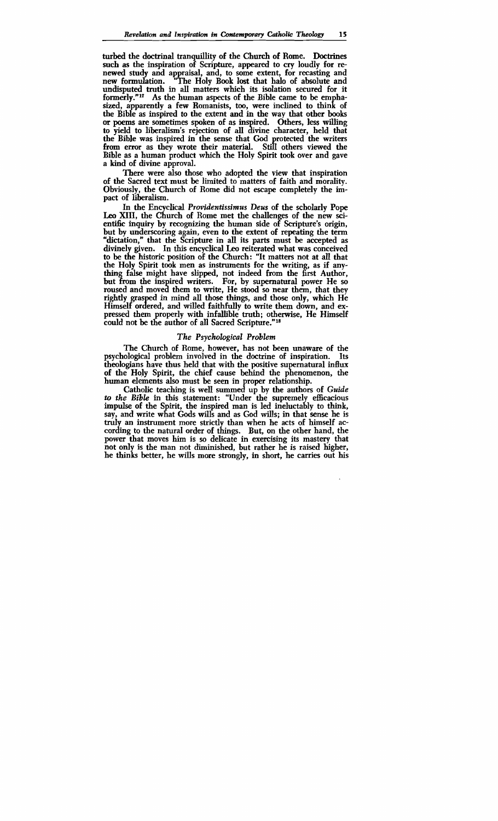turbed the doctrinal tranquillity of the Church of Rome. Doctrines **such** as the inspiration of Scripture, appeared to cry loudly for renewed study and appraisal, and, to some extent, for recasting and new formulation. "The Holy Book lost that halo of absolute and new formulation. "The Holy Book lost that halo of absolute and undisputed truth in all matters which its isolation secured for it formerly."<sup>17</sup> As the human aspects of the Bible came to be emphasized, apparently a few Romanists, too, were inclined to think of the Bible as inspired to the extent and in the way that other books or poems are sometimes spoken of as inspired. Others, less willing to vield to liberalism's rejection of all divine character, held that the Bible was inspired in the sense that God protected the writers from error as they wrote their material. Still others viewed the Bible as a human product which the Holy Spirit took over and gave a kind of divine approval.

There were also those who adopted the view that inspiration of the Sacred text must be limited to matters of faith and morality. Obviously, the Church of Rome did not escape completely the impact of liberalism.

In the Encyclical *Providentissimus Deus* of the scholarly Pope Leo XIII, the Church of Rome met the challenges of the new scientific inquiry by recognizing the human side of Scripture's origin, but by underscoring again, even to the extent of repeating the term "dictation," that the Scripture in all its parts must be accepted as divinely given. In this encyclical Leo reiterated what was conceived to be the historic position of the Church: "It matters not at all that the Holy Spirit took men as instruments for the writing, as if anything false might have slipped, not indeed from the first Author, but from the inspired writers. For, by supernatural power He so roused and moved them to write, He stood so near them, that they rightly grayd in mind all those things, and those only, which He Himself ordered, and willed faithfully to write them down, and expressed them properly with infallible truth; otherwise, He Himself could not be the author of all Sacred Scripture."18

#### *The Psychological Problem*

The Church of Rome, however, has not been unaware of the psychological problem involved in the doctrine of inspiration. Its theologians have thus held that with the positive supernatural **influx**  of the Holy Spirit, the chief cause behind the phenomenon, the human elements also must be seen in proper relationship.

Catholic teaching is well summed up by the authors of *Guide*  to the Bible in this statement: "Under the supremely efficacious numan elements also must be seen in proper relationship.<br>Catholic teaching is well summed up by the authors of *Guide*<br>to the Bible in this statement: "Under the supremely efficacious<br>impulse of the Spirit, the inspired ma say, and write what Gods wills and as God wills; in that sense he is truly an instrument more strictly than when he acts of himself according to the natural order of things. But, on the other hand, the power that moves **him** is so delicate in exercising its mastery that not only is the man not diminished, but rather he is raised higher, he thinks better, he wills more strongly, in short, he carries out his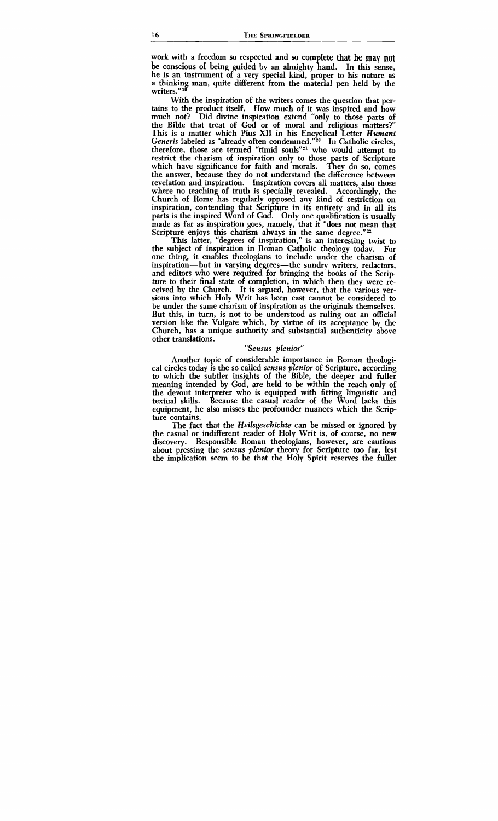work with a freedom so respected and **so** complete that **he may** not be conscious of being guided by an almighty hand. In **this** sense, he is an instrument of a very special kind, proper to his nature as a thinking man, quite different from the material pen held by the writers."<sup>19</sup>

With the inspiration of the writers comes the question that pertains to the product itself. How much of it was inspired and how much not? Did divine inspiration extend "only to those parts of the Bible that treat of God or of moral and religious matters?" This is a matter which Pius XI1 in his Encyclical Letter *Humani Generis* labeled as "already often condemned."<sup>20</sup> In Catholic circles, therefore, those are termed "timid souls"<sup>21</sup> who would attempt to restrict the charism of inspiration only to those parts of Scripture which have significance for faith and morals. They do so, comes which have significance for faith and morals. the answer, because they do not understand the difference between revelation and inspiration. Inspiration covers all matters, also those where no teaching of truth is specially revealed. Accordingly, the Church of Rome has regularly opposed any kind of restriction on inspiration, contending that Scripture in its entirety and in all its parts is the inspired Word of God. Only one qualification is usually made as far as inspiration goes, namely, that it "does not mean that Scripture enjoys this charism always in the same degree."<sup>22</sup>

This latter, "degrees of inspiration," is an interesting twist to the subject of inspiration in Roman Catholic theology today. For one thing, it enables theologians to include under the charism of inspiration—but in varying degrees—the sundry writers, redactors, and editors who were required for bringing the books of the Scripture to their final state of completion, in which then they were received by the Church. It is argued, however, that the various versions into which Holy Writ has been cast cannot be considered to be under the same charism of inspiration as the originals themselves. But this, in turn, is not to be understood as ruling out an official version like the Vulgate which, by virtue of its acceptance by the Church, has a unique authority and substantial authenticity above other translations.

#### *"Sensus pknior"*

Another topic of considerable importance in Roman theological circles today is the so-called *sensus pknior* of Scripture, according to which the subtler insights of the Bible, the deeper and fuller meaning intended by **God,** are held to be within the reach only of the devout interpreter who is equipped with fitting linguistic and textual skills. Because the casual reader of the Word lacks this equipment, he also misses the profounder nuances which the Scripture contains.

The fact that the *Heilsgeschichte* can be missed or ignored by the casual or indifferent reader of Holy Writ is, of course, no new discovery. Responsible Roman theologians, however, are cautious about pressing the *sensus plenior* theory for Scripture too far, lest the implication seem to be that the Holy Spirit reserves the fuller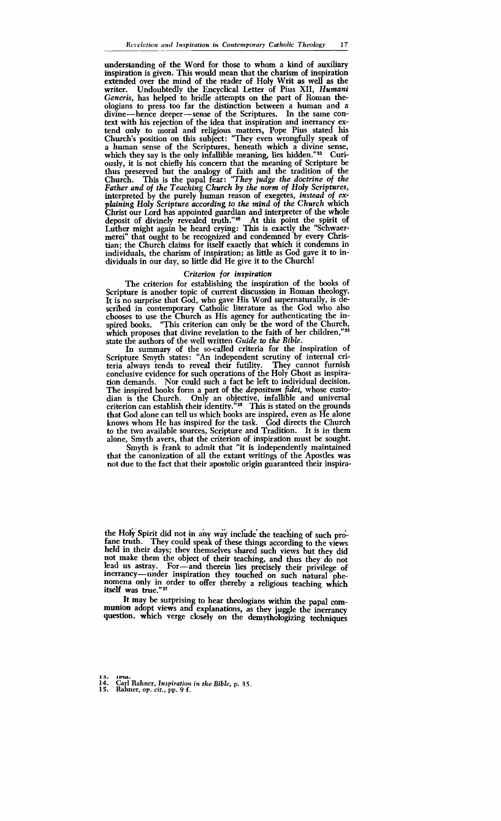understanding of the Word for those to whom a kind of auxiliary inspiration is given. This would mean that the charism of inspiration extended over the mind of the reader of Holy Writ as well as the writer. Undoubtedly the Encyclical Letter of Pius XII. Humani Undoubtedly the Encyclical Letter of Pius XII, *Humani Generis,* has helped to bridle attempts on **the** part of Roman theologians to press too far the distinction between a human and a divine—hence deeper—sense of the Scriptures. In the same context with his rejection of the idea that inspiration and inerrancy extend only to moral and religious matters, Pope Pius stated **his**  Church's position on this subject: "They even wrongfully speak of a human sense of the Scriptures, beneath which a divine sense, which they say is the only infallible meaning, lies hidden."<sup>23</sup> Curiously, it is not chiefly his concern that the meaning of Scripture be thus preserved but the analogy of faith and the tradition of the Church. This is the papal fear: *"They judge the doctrine of the Father and of the Teaching Church by the norm of Holy Scriptures,*  interpreted by the purely human reason of exegetes, *instead* of *explaining Holy Scripture according to the mind of the Church* which Christ our Lord has appointed guardian and interpreter of the whole deposit of divinely revealed truth."4s At this point the spirit of Luther might again be heard crying: This is exactly the "Schwaermerei" that ought to be recognized and condemned by every Christian; the Church claims for itself exactly that which it condemns in individuals, the charism of inspiration; as little as God gave it to individuals in our day, so little did He give it to the Church!

#### *Criterion* for *inspiration*

The criterion for establishing the inspiration of the books of Scripture is another topic of current discussion in Roman theology. It is no surprise that God, who gave His Word supernaturally, is described in contemporary Catholic literature as the God who also chooses to use the Church as His agency for authenticating the inspired books. "This criterion can only be the word of the Church, which proposes that divine revelation to the faith of her children,"25 state the authors of the well written *Guide* to *the Bibb.* 

In summary of the so-called criteria for the inspiration of Scripture Smyth states: "An independent scrutiny of internal criteria always tends to reveal their futility. They cannot furnish conclusive evidence for such operations of the Holy Ghost as inspiration demands. Nor could such a fact be left to individual decision. The inspired books form a part of the *depositum fidei*, whose custodian is the Church. Only an objective, infallible and universal criterion can establish their identity." $26$  This is stated on the grounds that God alone can tell us which books are inspired, even as He alone knows whom He has inspired for the task. God directs the Church to the two available sources, Scripture and Tradition. It is in them alone, Smyth avers, that the criterion of inspiration must be sought.

Smyth is frank to admit that "it is independently maintained that the canonization of **all** the extant writings of the Apostles was not due to the fact that their apostolic origin guaranteed their inspira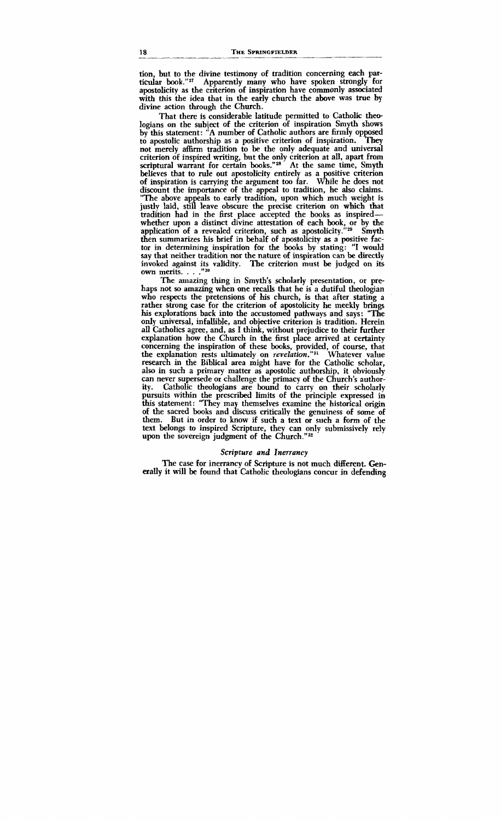tion, but to the divine testimony of tradition concerning each par-<br>ticular book."<sup>27</sup> Apparently many who have spoken strongly for apostolicity as the criterion of inspiration have commonly associated with this the idea that in the early church the above was true by divine action through the Church.

That there is considerable latitude permitted to Catholic theologians on the subject of the criterion of inspiration Smyth shows by this statement: "A number of Catholic authors are firmly opposed to apostolic authorship as a positive criterion of inspiration. They to apostolic authorship as a positive criterion of inspiration. not merely affirm tradition to be the only adequate and universal criterion of inspired writing, but the only criterion at all, apart from scriptural warrant for certain books."28<sup>2</sup> At the same time, Smyth believes that to rule out apostolicity entirely as a positive criterion of inspiration is carrying the argument too far. While he does not discount the importance of the appeal to tradition, he also claims. "The above appeals to early tradition, upon which much weight is justly laid, still leave obscure the precise criterion on which that tradition had in the first place accepted the books as inspiredwhether upon a distinct divine attestation of each book, or by the whether upon a distinct divine attestation of each book, or by the<br>application of a revealed criterion, such as apostolicity."<sup>29</sup> Smyth<br>then summarizes his brief in behalf of apostolicity as a positive fac-<br>tor in determi then summarizes his brief in behalf of apostolicity as a positive factor in determining inspiration for the books by stating: "I would say that neither tradition nor the nature of inspiration can be directly invoked against its validity. The criterion must be judged on its own merits. . . . "<sup>30</sup>

The amazing thing in Smyth's scholarly presentation, or prehaps not **so** amazing when one recalls that he is a dutiful theologian who respects the pretensions of his church, is that after stating a rather strong case for the criterion of apostolicity he meekly brings his explorations back into the accustomed pathways and says: "The only universal, infalIible, and objective criterion is tradition. Herein all Catholics agree, and, as I think, without prejudice to their further explanation how the Church in the first place arrived at certainty concerning the inspiration of these books, provided, of course, that the explanation rests ultimately on revelation."<sup>31</sup> Whatever value research in the Biblical area might have for the Catholic scholar, also in such a primary matter as apostolic authorship, it obviously can never supersede or challenge the primacy of the Church's authority. Catholic theologians are bound to carry on their scholarly pursuits within the prescribed limits of the principle expressed in this statement: "They may themselves examine the historical origin of the sacred books and discuss critically the genuiness of some of them. But in order to know if such a text or such a form of the text belongs to inspired Scripture, they can only submissively rely upon the sovereign judgment of the Church." $^{32}$ 

#### *Scripture and Inerrancy*

The case for inerrancy of Scripture is not much different. **Gen**erally it will be found that Catholic theologians concur in defending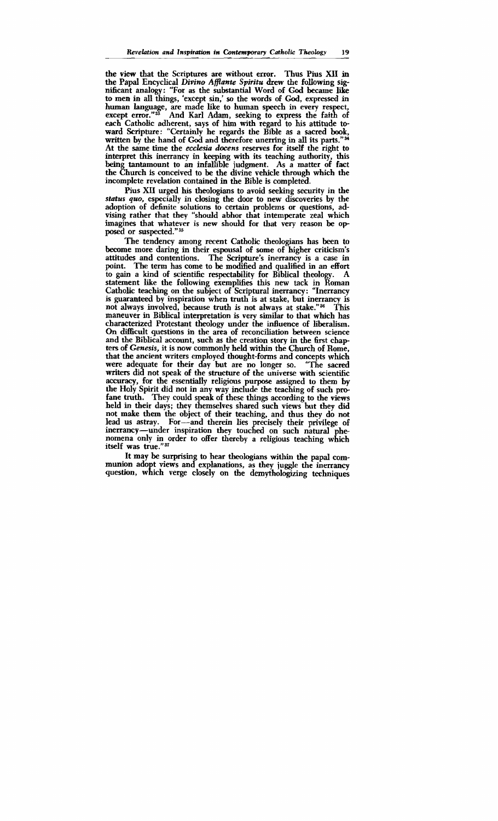the view that the Scriptures are without error. Thus Pius **XI1** in the Papal Encyclical *Divino* **AfPante** *Spiritu* drew the following significant analogy: "For as the substantial Word of God became like to men in all things, 'except sin,' so the words of God, expressed in human language, are made like to human speech in every respect, except error."<sup>33</sup> And Karl Adam, seeking to express the faith of each Catholic adherent, says of him with regard to his attitude toward Scripture: "Certainly he regards the Bible as a sacred book, written by the hand of God and therefore unerring in all its parts."<sup>34</sup> At the same time the *ecclesia docens* reserves for itself the right to interpret this inerrancy in keeping with its teaching authority, **this**  being tantamount to an infallible judgment. As a matter of fact the Church is conceived to be the divine vehicle through which the incomplete revelation contained in the Bible is completed.

Pius XI1 urged his theologians to avoid seeking security in the *status quo,* especially in closing the door to new discoveries by the adoption of definite solutions to certain problems or questions, advising rather that they "should abhor that intemperate zeal which imagines that whatever is new should for that very reason be opposed or suspected."<sup>35</sup>

The tendency among recent Catholic theologians has been to become more daring in their espousal of some of higher criticism's attitudes and contentions. The Scripture's inerrancy is a case in point. The term has come to be modified and qualified in an effort<br>to gain a kind of scientific respectability for Biblical theology. A to gain a kind of scientific respectability for Biblical theology. A statement like the following exemplifies this new tack in Roman Catholic teaching on the subject of Scriptural inerrancy: "Inerrancy is guaranteed by inspiration when truth is at stake, but inerrancy is not always involved, because truth is not always at stake."<sup>36</sup> This maneuver in Biblical interpretation is very similar to that which has characterized Protestant theology under the influence of liberalism. On **difEcult** questions in the area of reconciliation between science and the Biblical account, such as the creation story in the first chapters of *Genesis,* it is now commonly held within the Church of Rome, that the ancient writers employed thought-forms and concepts which were adequate for their day but are no longer so. "The sacred were adequate for their day but are no longer so. writers did not speak of the structure of the universe with scientific accuracy, for the essentially religious purpose assigned to them by the Holy Spirit did not in any way incIude the teaching of such profane truth. They could speak of these things according to the views held in their days; they themselves shared such views but they did not make them the object of their teaching, and thus they do not lead us astray. For-and therein lies precisely their privilege of inerrancy-under inspiration they touched on such natural phenomena only in order to offer thereby a religious teaching which itself **was** true."37

It may be surprising to hear theologians within the papal communion adopt views and explanations, as they juggle the inerrancy question, which verge closely on the demythologizing techniques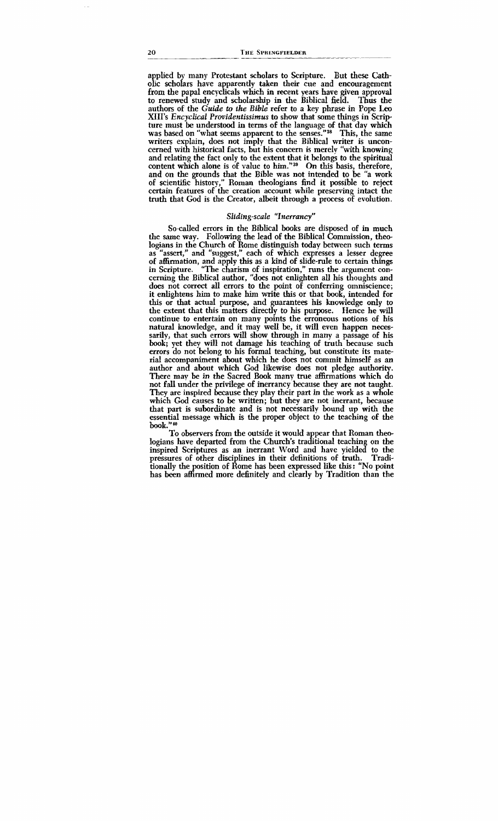applied by many Protestant scholars to Scripture. But these Catholic scholars have apparently taken their cue and encouragement from the papal encyclicals which in recent years have given approval to renewed study and scholarship in the Biblical field. Thus the authors of the *Guide* to *the* **Bible** refer to a key phrase in Pope Leo XIII's *Encyclical Providentissimus* to show that some things in Scrip-<br>ture must be understood in terms of the language of that day which was based on "what seems apparent to the senses."<sup>38</sup> This, the same writers explain, does not imply that the Biblical writer is unconcerned with historical facts, but his concern is merely "with knowing and relating the fact only to the extent that it belongs to the spiritual content which alone is of value to him."<sup>39</sup> On this basis, therefore, and on the grounds that the Bible was not intended to be "a work of scientific history," Roman theologians find it possible to reject certain features of the creation account while preserving intact the truth that God is the Creator, albeit through a process of evolution.

#### Sliding-scale "Inerrancy"

So-called errors in the Biblical books are disposed of in much the same way. Following the lead of the Biblical Commission, theologians in the Church of Rome distinguish today between such terms as "assert," and "suggest," each of which expresses a lesser degree of affirmation, and apply this as a kind of slide-rule to certain things in Scripture. ''The charism of inspiration," runs the argument concerning the Biblical author, "does not enlighten all his thoughts and does not correct all errors to the point of conferring omniscience; it enlightens him to make him write this or that book, intended for this or that actual purpose, and guarantees his knowledge only to the extent that this mattes directly to his purpose. Hence he will continue to entertain on many points the erroneous notions of his natural knowledge, and it may well be, it will even happen necessarily, that such errors will show through in many a passage of his book; yet they will not damage his teaching of truth because such errors do not belong to his formal teaching, but constitute its material accompaniment about which he does not commit himself as an author and about which God likewise does not pledge authority.<br>There may be in the Sacred Book many true affirmations which do not fall under the privilege of inerrancy because they are not taught. They are inspired because they play their part in the work as a whole which God causes to be written; but they are not inerrant, because that part is subordinate and is not necessarily bound up with the essential message which is the proper object to the teaching of the **book."m** 

To observers from the outside it would appear that Roman theologians have departed from the Church's traditional teaching on the inspired Scriptures as an inerrant Word and have yielded to the pressures of other disciplines in their defmitions of truth. Traditionally the osition of Rome has been expressed like this: "No point has been affirmed more definitely and clearly by Tradition than the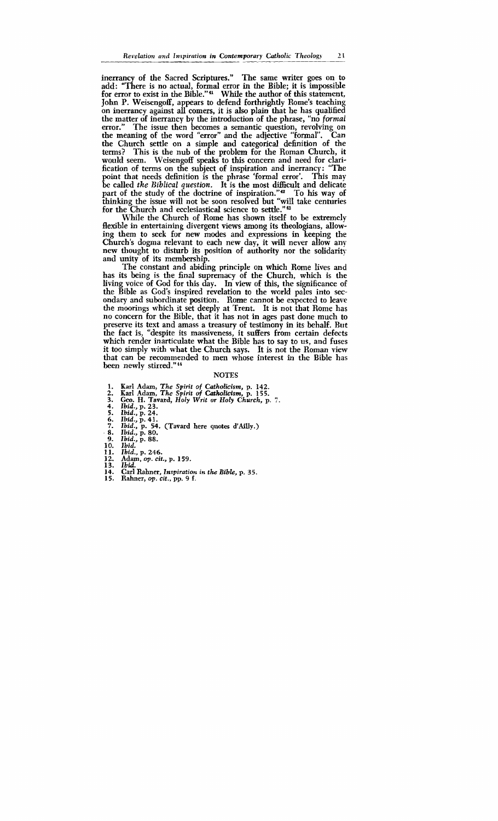inerrancy of the Sacred Scriptures." The same writer goes on to add: "There is no actual, formal error in the Bible; it is impossible for error to exist in the Bible."<sup>41</sup> While the author of this statement. John **P.** Weisengoff, appears to defend forthrightly Rome's teaching on inerrancy against all comers, it is **also** plain that he has qualified the matter of inerrancy by the introduction of the phrase, "no *formal* error." The issue then becomes a semantic question, revolving on John P. Weisengoff, appears to defend forthrightly Rome's teaching<br>on inerrancy against all comers, it is also plain that he has qualified<br>the matter of inerrancy by the introduction of the phrase, "no *formal*<br>error." The the Church settle on a simple and categorical definition of the terms? This is the nub of the problem for the Roman Church, it would seem. Weisengoff speaks to this concern and need for clarification of terms on the subject of inspiration and inerrancy: "The point that needs definition is the phrase 'formal error'. This may be called the **Biblical question.** It is the most difficult and delicate part of the study of the doctrine of inspiration."<sup>42</sup> To his way of thinking the issue will not be soon resolved but **"will** take centuries for the Church and ecclesiastical science to settle."<sup>43</sup>

While the Church of Rome has shown itself to be extremely flexible in entertaining divergent views among its theologians, allowing them to seek for new modes and expressions in keeping the Church's dogma relevant to each new day, it will never allow any new thought to disturb its position of authority nor the solidarity and unity of its membership.

The constant and abiding principle on which Rome lives and has its being is the final supremacy of the Church, which is the living voice of God for this day. In view of this, the significance of the Bible as God's inspired revelation to the world pales into secondary and subordinate position. Rome cannot be expected to leave the moorings which it set deeply at Trent. It is not that Rome has no concern for the Bible, that it has not in ages past done much to preserve its text and amass a treasury of testimony in its behalf. But the fact is, "despite **its** massiveness, it suffers from certain defects which render inarticulate what the Bible has to say to us, and fuses it too simply with what the Church says. It is not the Roman view that can be recommended to men whose interest in the Bible has been newly stirred." **<sup>44</sup>**

#### **NOTES**

- 
- 
- 1. Karl Adam, The Spirit of Catholicism, p. 142.<br>2. Karl Adam, The Spirit of Catholicism, p. 155.<br>3. Geo. H. Tavard, Holy Writ or Holy Church, p. 7.
- **4.** *Ibid.,* **p. 23.**
- *5. Ibid.,* **p. 24.**
- *6. Ibid.,* **p. 41.**
- *7. Ibid.,* **p. 54.** (Tavard here **quotes d'AiUy.)** . *8. Ibid.,* **p. 80.** 
	-
- *9. lbid.,* **p.** *88.*
- **10.** *Ibid.*
- **11.** *Ibid.,* **p. 246.**
- **12.** Adam, *op. cit.,* p. *159.*
- **13.** *Ibid.*
- **14.** *Carl* Rahner, *Inspiration in the Bible, p. 35.*
- **15.** Rahner, *op,* **cit., pp. 9 f.**